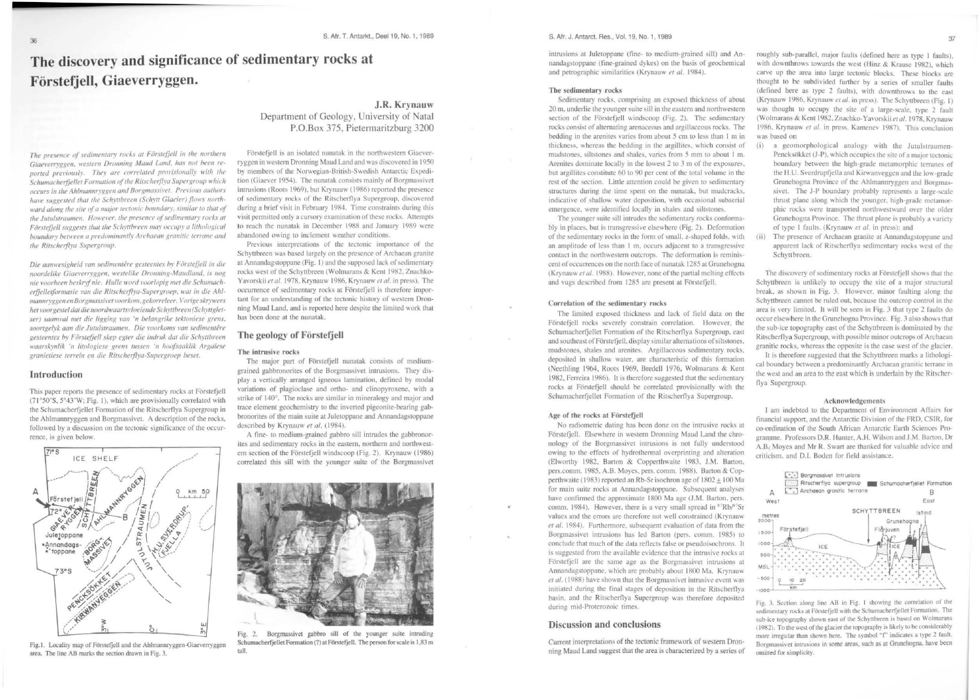# **The discovery and significance of sedimentary rocks at Forstefjell, Giaeverryggen.**

The presence of sedimentary rocks at Förstefjell in the northern Giaeverryggen, western Dronning Maud Land, has not been reported previously. They are correlated provisionally with the Schumacherfjellet Formation of the Ritscherflya Supergroup which  $occurs$  in the Ahlmannryggen and Borgmassivet. Previous authors have suggested that the Schyttbreen (Schytt Glacier) flows northward along the site of a major tectonic boundary, similar to that of the Jutulstraumen. However, the presence of sedimentary rocks at Förstefjell suggests that the Schyttbreen may occupy a lithological boundary between a predominantly Archaean granitic terrane and  $the$  Ritscherflya Supergroup.

*Die aam•·esigheid* \'Oil *sedimentt!rc• gc•steemes hy Fiirstefje/1 in die noortle/ike Giae\'1'1"/)'ggen. westelike Dronning-Maucllwul,* i.1 *nog*  nie voorheen beskryf nie. Hulle word voorlopig met die Schumacherfjelletformasie van die Ritscherflya-Supergroep, wat in die Ahl*manllryggen en Borgmassiret\'Oorkom,gekorreleer.* \' *orige skl)'lt'l'rs*  het voorgestel dat die noordwaartsvloeiende Schyttbreen (Schyttgletser) saamval met die ligging van 'n belangrike tektoniese grens. soortgelyk aan die Jutulstraumen. Die voorkoms van sedimentêre gesteentes by Förstefjell skep egter die indruk dat die Schyttbreen waarskynlik 'n litologiese grens tussen 'n hoofsaaklik Argaïese granietiese terrein en die Ritscherflya-Supergroep beset.

## Introduction

This paper reports the presence of sedimentary rocks at Förstefjell (71 °50'S, 5°43'W; Fig. 1), which are provisionally correlated with the Schumacherfjellet Formation of the Ritscherflya Supergroup in the Ahlmannryggen and Borgmassivet. A description of the rocks. followed by a discussion on the tectonic significance of the occurrence. is given below.



Fig.1. Locality map of Förstefjell and the Ahlmannryggen-Giaeverryggen area. The line AB marks the section drawn in Fig. 3.

J.R. Krynauw Department of Geology, University of Natal P.O.Box 375, Pietermarilzburg 3200

Forstefjell is an isolated nunatak in the northwestern Giaeverryggen in western Dronning Maud Land and was discovered in 1950 by members of the Norwegian-British-Swedish Antarctic Expedition (Giaever 1954). The nunatak consists mainly of Borgmassivet intrusions (Roots 1969), but Krynauw (1986) reported the presence of sedimentary rocks of the Ritscherflya Supergroup, discovered during a brief visit in February 1984. Time constraints during this visit permitted only a cursory examination of these rocks. Attempts to reach the nunatak in December 1988 and January 1989 were abandoned owing to inclement weather conditions.

Previous interpretations of the tectonic importance of the Schyttbrecn was based largely on the presence of Archacan granite at Annandagstoppane (Fig. 1) and the supposed lack of sedimentary rocks west of the Schyttbreen (Wolmarans & Kent 1982. Znachko-Yavorskii *c't al.* 1978, Krynauw 1986, Krynauw *et al.* in press). The occurrence of sedimentary rocks at Förstefjell is therefore important for an understanding of the tectonic history of western Dronning Maud Land, and is reported here despite the limited work that has been done at the nunatak.

## The geology of Forstefjell

#### The intrusive rocks

The major part of Förstefjell nunatak consists of mediumgrained gabbronorites of the Borgmassivet intrusions. They display a venically arranged igneous lamination. defined by modal variations of plagioclase and ortho- and clinopyroxene, with a strike of 140°. The rocks are similar in mineralogy and major and trace element geochcmistry to the inverted pigconite-bearing gabbronorites of the main suite at Juletoppane and Annandagstoppane described by Krynauw et al. (1984).

A fine- to medium-grained gabbro sill intrudes the gabbronorites and sedimentary rocks in the eastern, northern and northwestern section of the Förstefjell windscoop (Fig. 2). Krynauw (1986) correlated this sill with the younger suite of the Borgmassivet



Fig. 2. Borgmassivet gabbro sill of the younger suite intruding Schumacherfjellet Formation (?) at Förstefjell. The person for scale is 1,83 m tall.